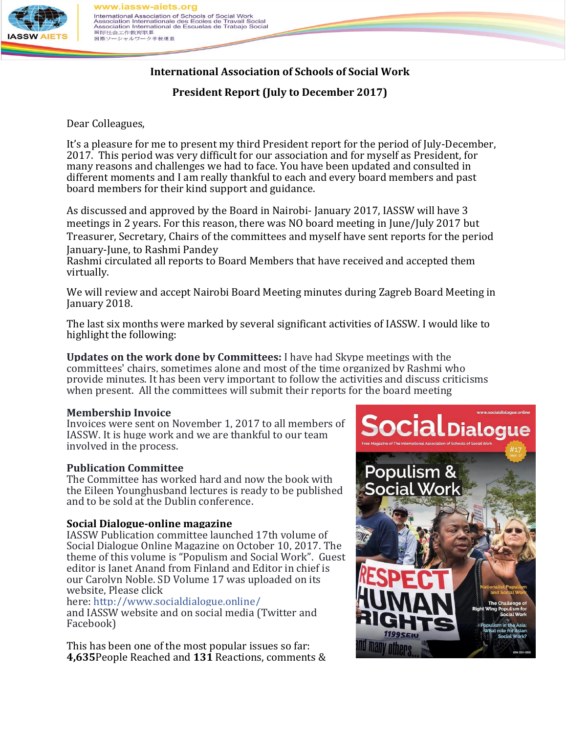

#### ww.iassw-aiets.org International Association of Schools of Social Work International Association Internationale des Ecoles de Travail Social<br>Association Internationale des Ecoles de Travail Social<br>Association International de Escuelas de Trabajo Social<br>国际社会工作教育联盟 国際ソーシャルワーク学校連盟

# **International Association of Schools of Social Work**

**President Report (July to December 2017)**

Dear Colleagues,

It's a pleasure for me to present my third President report for the period of July-December, 2017. This period was very difficult for our association and for myself as President, for many reasons and challenges we had to face. You have been updated and consulted in different moments and I am really thankful to each and every board members and past board members for their kind support and guidance.

As discussed and approved by the Board in Nairobi- January 2017, IASSW will have 3 meetings in 2 years. For this reason, there was NO board meeting in June/July 2017 but Treasurer, Secretary, Chairs of the committees and myself have sent reports for the period January-June, to Rashmi Pandey

Rashmi circulated all reports to Board Members that have received and accepted them virtually.

We will review and accept Nairobi Board Meeting minutes during Zagreb Board Meeting in January 2018.

The last six months were marked by several significant activities of IASSW. I would like to highlight the following:

**Updates on the work done by Committees:** I have had Skype meetings with the committees' chairs, sometimes alone and most of the time organized by Rashmi who provide minutes. It has been very important to follow the activities and discuss criticisms when present. All the committees will submit their reports for the board meeting

## **Membership Invoice**

Invoices were sent on November 1, 2017 to all members of IASSW. It is huge work and we are thankful to our team involved in the process.

## **Publication Committee**

The Committee has worked hard and now the book with the Eileen Younghusband lectures is ready to be published and to be sold at the Dublin conference.

## **Social Dialogue-online magazine**

IASSW Publication committee launched 17th volume of Social Dialogue Online Magazine on October 10, 2017. The theme of this volume is "Populism and Social Work". Guest editor is Janet Anand from Finland and Editor in chief is our Carolyn Noble. SD Volume 17 was uploaded on its website, Please click

here: [http://www.socialdialogue.online/](https://l.facebook.com/l.php?u=http%3A%2F%2Fwww.socialdialogue.online%2F&h=ATPEuvJxWEA3ox6UewTdd5fR363BCPq5pd5Rpu6B07tfMF8gUtENDN1N9lRobuH2VhPjB-oHLxtdeJrPoKXoieo-x8sWCQeO8NDTpR9x_2MNn8Gcm0HL3VU18QfjrBq-akPDmJqXxX6V6P4-VyO4JXtL4KC29kqI_wRpnfyLxPwdPf1CnQpvXvnjuZNcsMeVS_6z5J2dfHG1HBTjgf3TAcxcEg58bR4Dzsr0sHnx50baxN1Etw)

and IASSW website and on social media (Twitter and Facebook)

This has been one of the most popular issues so far: **4,635**People Reached and **131** Reactions, comments &

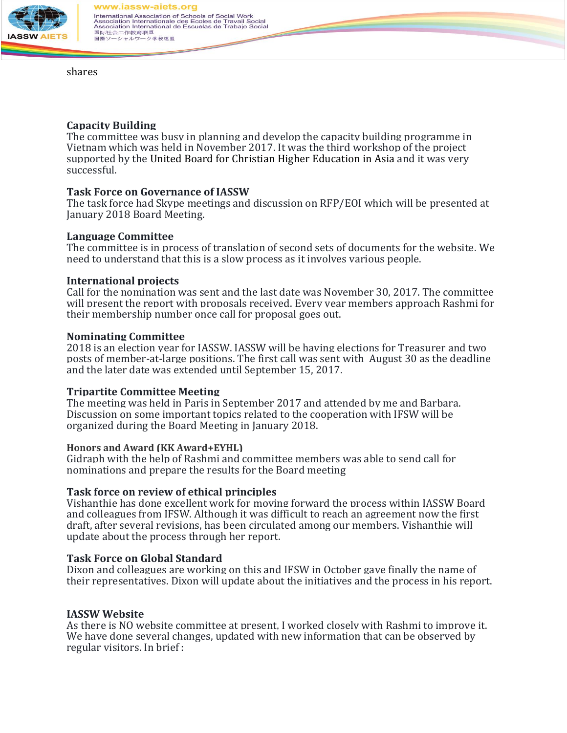

shares

#### **Capacity Building**

The committee was busy in planning and develop the capacity building programme in Vietnam which was held in November 2017. It was the third workshop of the project supported by the United Board for Christian Higher Education in Asia and it was very successful.

#### **Task Force on Governance of IASSW**

The task force had Skype meetings and discussion on RFP/EOI which will be presented at January 2018 Board Meeting.

#### **Language Committee**

The committee is in process of translation of second sets of documents for the website. We need to understand that this is a slow process as it involves various people.

#### **International projects**

Call for the nomination was sent and the last date was November 30, 2017. The committee will present the report with proposals received. Every year members approach Rashmi for their membership number once call for proposal goes out.

#### **Nominating Committee**

2018 is an election year for IASSW. IASSW will be having elections for Treasurer and two posts of member-at-large positions. The first call was sent with August 30 as the deadline and the later date was extended until September 15, 2017.

#### **Tripartite Committee Meeting**

The meeting was held in Paris in September 2017 and attended by me and Barbara. Discussion on some important topics related to the cooperation with IFSW will be organized during the Board Meeting in January 2018.

#### **Honors and Award (KK Award+EYHL)**

Gidraph with the help of Rashmi and committee members was able to send call for nominations and prepare the results for the Board meeting

## **Task force on review of ethical principles**

Vishanthie has done excellent work for moving forward the process within IASSW Board and colleagues from IFSW. Although it was difficult to reach an agreement now the first draft, after several revisions, has been circulated among our members. Vishanthie will update about the process through her report.

#### **Task Force on Global Standard**

Dixon and colleagues are working on this and IFSW in October gave finally the name of their representatives. Dixon will update about the initiatives and the process in his report.

## **IASSW Website**

As there is NO website committee at present, I worked closely with Rashmi to improve it. We have done several changes, updated with new information that can be observed by regular visitors. In brief :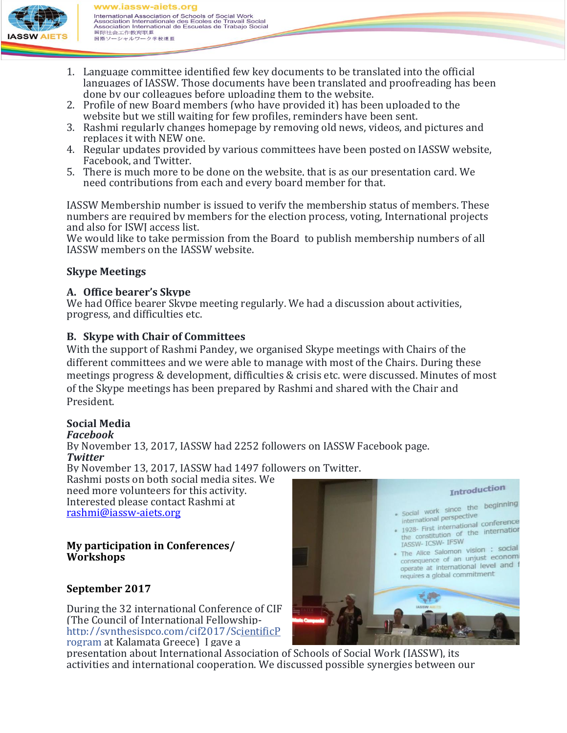

www.iassw-aiets.org International Association of Schools of Social Work International Association Internationale des Ecoles de Travail Social<br>Association Internationale des Ecoles de Travail Social<br>Association International de Escuelas de Trabajo Social<br>国际社会工作教育联盟 国際ソーシャルワーク学校連盟

- 1. Language committee identified few key documents to be translated into the official languages of IASSW. Those documents have been translated and proofreading has been done by our colleagues before uploading them to the website.
- 2. Profile of new Board members (who have provided it) has been uploaded to the website but we still waiting for few profiles, reminders have been sent.
- 3. Rashmi regularly changes homepage by removing old news, videos, and pictures and replaces it with NEW one.
- 4. Regular updates provided by various committees have been posted on IASSW website, Facebook, and Twitter.
- 5. There is much more to be done on the website, that is as our presentation card. We need contributions from each and every board member for that.

IASSW Membership number is issued to verify the membership status of members. These numbers are required by members for the election process, voting, International projects and also for ISWJ access list.

We would like to take permission from the Board to publish membership numbers of all IASSW members on the IASSW website.

## **Skype Meetings**

#### **A. Office bearer's Skype**

We had Office bearer Skype meeting regularly. We had a discussion about activities, progress, and difficulties etc.

## **B. Skype with Chair of Committees**

With the support of Rashmi Pandey, we organised Skype meetings with Chairs of the different committees and we were able to manage with most of the Chairs. During these meetings progress & development, difficulties & crisis etc. were discussed. Minutes of most of the Skype meetings has been prepared by Rashmi and shared with the Chair and President.

## **Social Media**

#### *Facebook*

By November 13, 2017, IASSW had 2252 followers on IASSW Facebook page. *Twitter*

By November 13, 2017, IASSW had 1497 followers on Twitter.

Rashmi posts on both social media sites. We need more volunteers for this activity. Interested please contact Rashmi at [rashmi@iassw-aiets.org](mailto:rashmi@iassw-aiets.org)

#### **My participation in Conferences/ Workshops**

## **September 2017**

During the 32 international Conference of CIF (The Council of International Fellowship[http://synthesispco.com/cif2017/ScientificP](http://synthesispco.com/cif2017/ScientificProgram) [rogram](http://synthesispco.com/cif2017/ScientificProgram) at Kalamata Greece) I gave a



presentation about International Association of Schools of Social Work (IASSW), its activities and international cooperation. We discussed possible synergies between our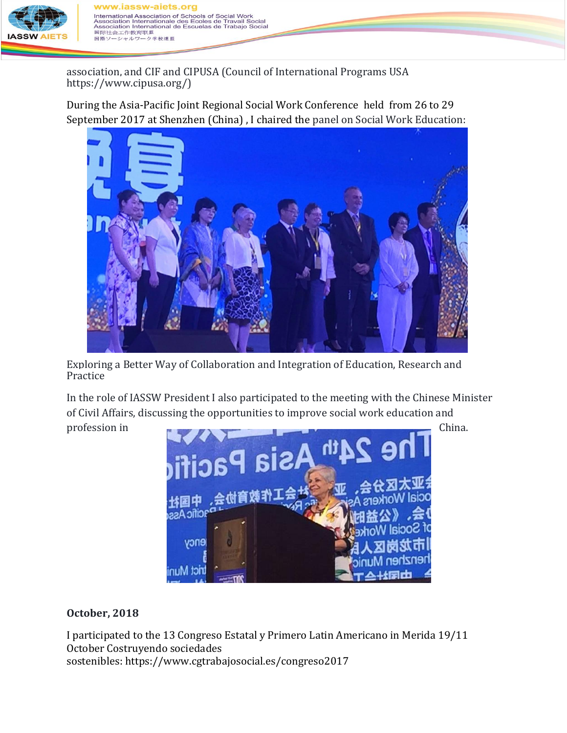

v.iassw-aiets.org International Association of Schools of Social Work<br>Association Internationale des Ecoles de Travail Social<br>Association International de Escuelas de Trabajo Social<br>国际社会工作教育联盟 国際ソ ーシャルワーク学校連盟

association, and CIF and CIPUSA (Council of International Programs USA https://www.cipusa.org/)

During the Asia-Pacific Joint Regional Social Work Conference held from 26 to 29 September 2017 at Shenzhen (China) , I chaired the panel on Social Work Education:



Exploring a Better Way of Collaboration and Integration of Education, Research and Practice

In the role of IASSW President I also participated to the meeting with the Chinese Minister of Civil Affairs, discussing the opportunities to improve social work education and



**October, 2018**

I participated to the 13 Congreso Estatal y Primero Latin Americano in Merida 19/11 October Costruyendo sociedades sostenibles: <https://www.cgtrabajosocial.es/congreso2017>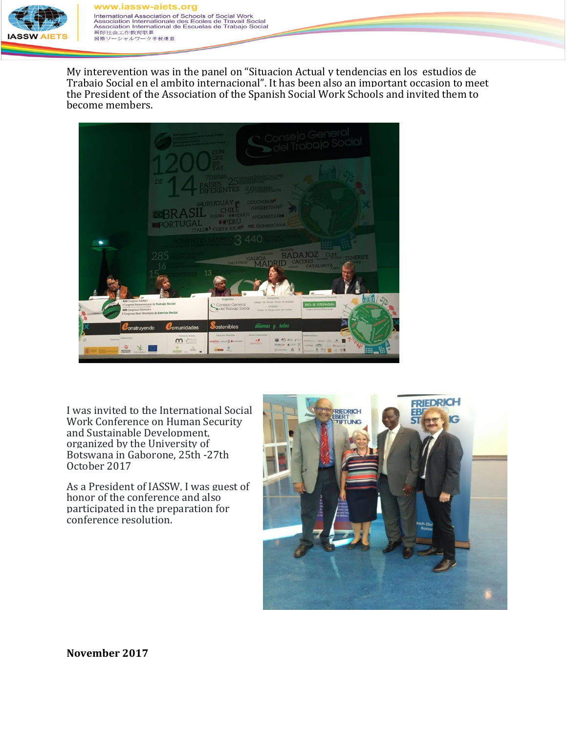

www.iassw-aiets.org **International Association of Schools of Social Work**<br>Association Internationale des Ecoles de Travail Social<br>Association International de Escuelas de Trabajo Social<br>国际社会工作教育联盟 国際ソーシャルワーク学校連盟

My interevention was in the panel on "Situacion Actual y tendencias en los estudios de Trabajo Social en el ambito internacional". It has been also an important occasion to meet the President of the Association of the Spanish Social Work Schools and invited them to become members.

|                                                                                                                  | " Consejo General<br>Dodel Trabajo Social<br>DE<br>59 ST. Throw                                                                                                                                                                                                                                                                                                                                                                                  |  |
|------------------------------------------------------------------------------------------------------------------|--------------------------------------------------------------------------------------------------------------------------------------------------------------------------------------------------------------------------------------------------------------------------------------------------------------------------------------------------------------------------------------------------------------------------------------------------|--|
|                                                                                                                  | <b>COLOMBIA</b><br>URUGUAY <sub>F</sub><br><b>ARGENTINA</b><br>CCHI<br>BRAS<br>IRANE EMEXICO AFGANISTAN<br><b>LIPERU</b><br><b>OPORTUGAL</b><br><b>ITALIA<sup>S</sup> COSTA RICKETSR. DOMINICANA</b><br>3440<br><b>ECOVIA</b>                                                                                                                                                                                                                    |  |
| 7 2<br><b>XIII</b> Congreso Estataly<br>I Congreso Iberoamericano de Trabajo Social<br>XIII Congresso Estadual e | <b>DAJOZ</b><br><b>CLM</b><br><b>TENERIFE</b><br><b>GALICIA</b><br><b>CACERES</b><br><b>VALLADOLID</b><br><b>CATALUNYA</b><br><b>TIV ALA.</b><br>13<br>Patrocinio Institucional laureade<br>Conventitio<br>Organiza<br>Collegio de Tobialo Social de Bodosor<br><b>JUNTA DE EXTREMADURA</b><br>Consejo General<br>Cole Trabajo Social<br>Cotabora -<br>Commerce de Sanitad e Politicae Sociales<br>Compo me foliolo docci de Cibowne             |  |
| Construyendo<br><b>Patrolic Commission</b><br>当<br>10030200<br><b>Extremators</b>                                | I Congresso Ibero-Americano de Serviço Social<br>dilemas y relos<br><b>O</b> stenibles<br>Comunidades<br>Media Colaborador<br>Petrócisis Medallón<br>Colaborachum<br>Patricinis Armilla<br>$\theta$<br>$(2)$ $(1)$ $(2)$<br>$\mathbf{r}$<br><b>ATOMORY REDGE ATTACK</b><br>mplifon calling 5 detailers<br>二九<br>serviments'<br><b>Bla bla Car</b><br>$-100$<br>Lives Showard HA<br>$\Theta$ means $B$<br>$\frac{1}{1-\alpha}$<br>- 0.0<br>avante |  |

I was invited to the International Social Work Conference on Human Security and Sustainable Development, organized by the University of Botswana in Gaborone, 25th -27th October 2017

As a President of IASSW, I was guest of honor of the conference and also participated in the preparation for conference resolution.



**November 2017**